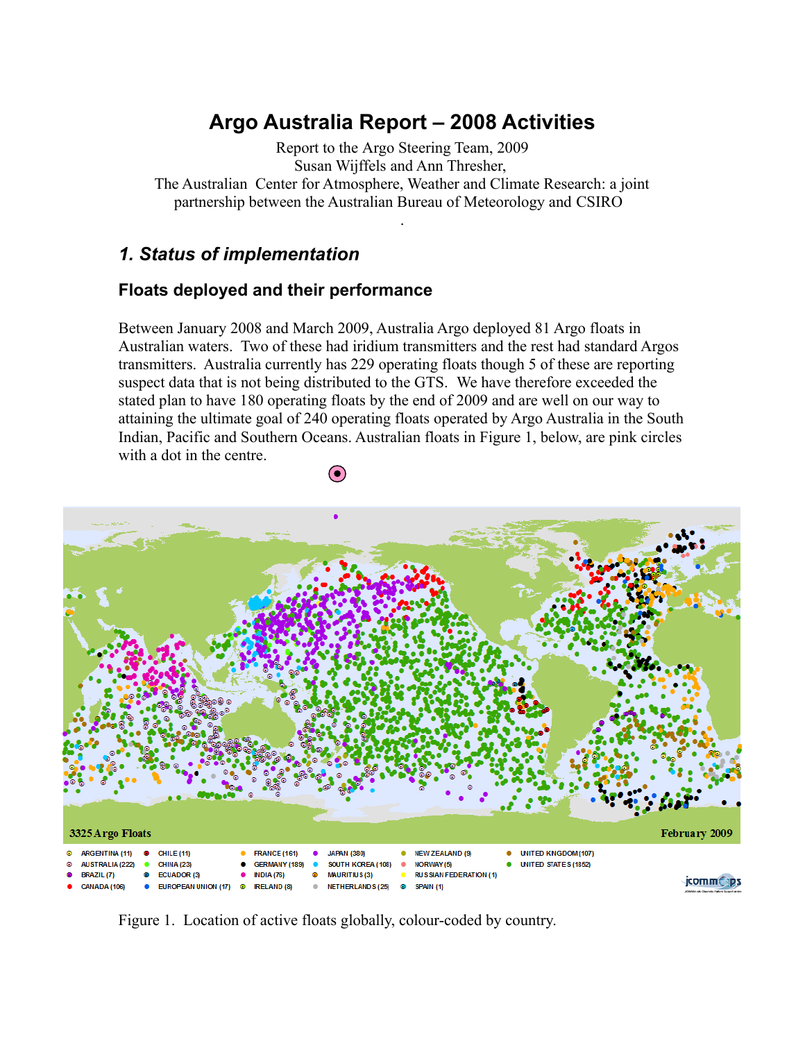# **Argo Australia Report – 2008 Activities**

Report to the Argo Steering Team, 2009 Susan Wijffels and Ann Thresher, The Australian Center for Atmosphere, Weather and Climate Research: a joint partnership between the Australian Bureau of Meteorology and CSIRO

.

### *1. Status of implementation*

### **Floats deployed and their performance**

Between January 2008 and March 2009, Australia Argo deployed 81 Argo floats in Australian waters. Two of these had iridium transmitters and the rest had standard Argos transmitters. Australia currently has 229 operating floats though 5 of these are reporting suspect data that is not being distributed to the GTS. We have therefore exceeded the stated plan to have 180 operating floats by the end of 2009 and are well on our way to attaining the ultimate goal of 240 operating floats operated by Argo Australia in the South Indian, Pacific and Southern Oceans. Australian floats in Figure 1, below, are pink circles with a dot in the centre.

 $\odot$ 



Figure 1. Location of active floats globally, colour-coded by country.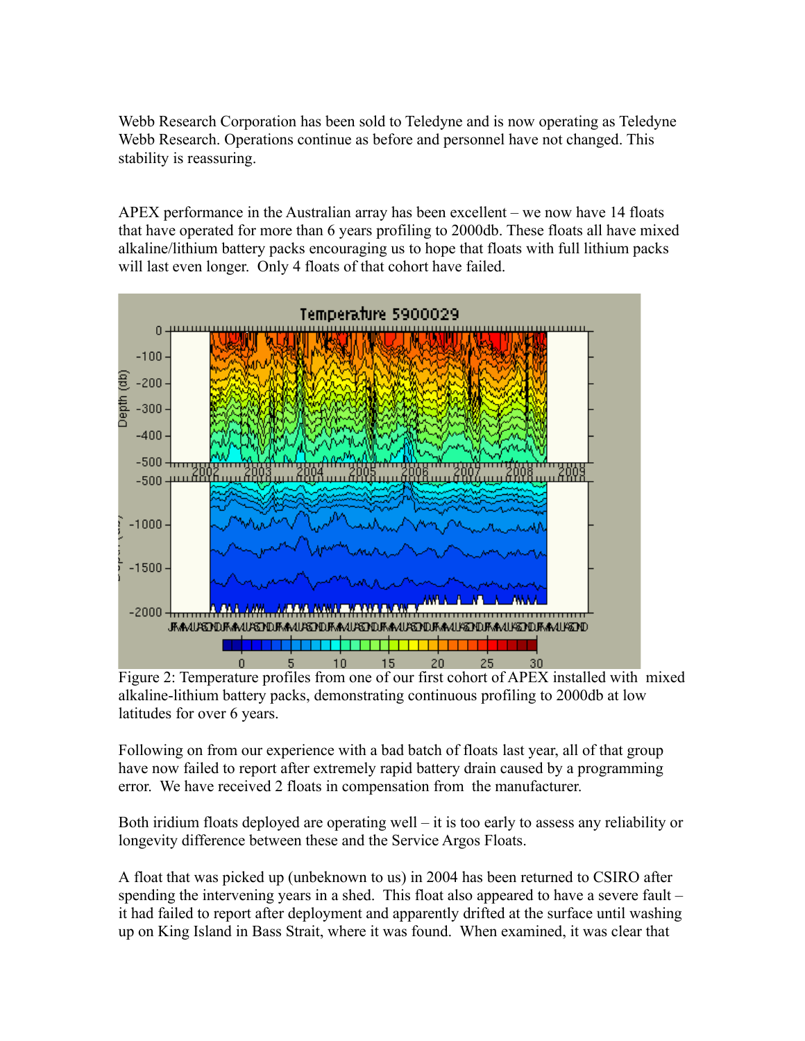Webb Research Corporation has been sold to Teledyne and is now operating as Teledyne Webb Research. Operations continue as before and personnel have not changed. This stability is reassuring.

APEX performance in the Australian array has been excellent – we now have 14 floats that have operated for more than 6 years profiling to 2000db. These floats all have mixed alkaline/lithium battery packs encouraging us to hope that floats with full lithium packs will last even longer. Only 4 floats of that cohort have failed.



Figure 2: Temperature profiles from one of our first cohort of APEX installed with mixed alkaline-lithium battery packs, demonstrating continuous profiling to 2000db at low latitudes for over 6 years.

Following on from our experience with a bad batch of floats last year, all of that group have now failed to report after extremely rapid battery drain caused by a programming error. We have received 2 floats in compensation from the manufacturer.

Both iridium floats deployed are operating well – it is too early to assess any reliability or longevity difference between these and the Service Argos Floats.

A float that was picked up (unbeknown to us) in 2004 has been returned to CSIRO after spending the intervening years in a shed. This float also appeared to have a severe fault – it had failed to report after deployment and apparently drifted at the surface until washing up on King Island in Bass Strait, where it was found. When examined, it was clear that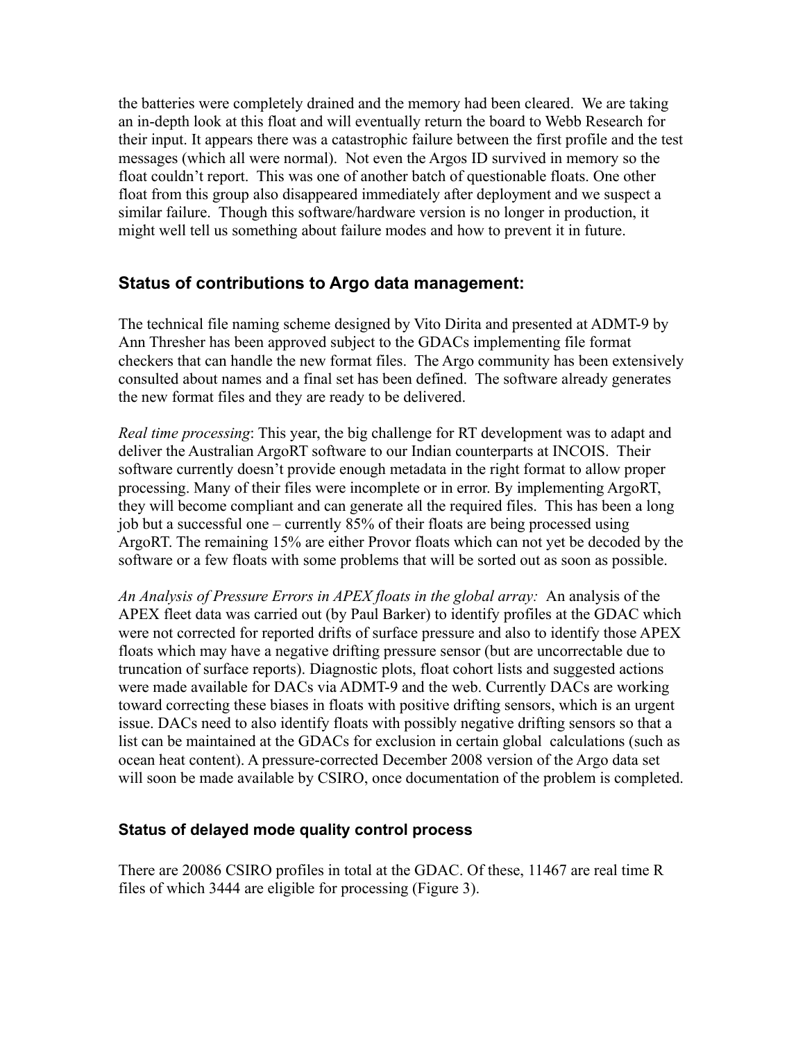the batteries were completely drained and the memory had been cleared. We are taking an in-depth look at this float and will eventually return the board to Webb Research for their input. It appears there was a catastrophic failure between the first profile and the test messages (which all were normal). Not even the Argos ID survived in memory so the float couldn't report. This was one of another batch of questionable floats. One other float from this group also disappeared immediately after deployment and we suspect a similar failure. Though this software/hardware version is no longer in production, it might well tell us something about failure modes and how to prevent it in future.

### **Status of contributions to Argo data management:**

The technical file naming scheme designed by Vito Dirita and presented at ADMT-9 by Ann Thresher has been approved subject to the GDACs implementing file format checkers that can handle the new format files. The Argo community has been extensively consulted about names and a final set has been defined. The software already generates the new format files and they are ready to be delivered.

*Real time processing*: This year, the big challenge for RT development was to adapt and deliver the Australian ArgoRT software to our Indian counterparts at INCOIS. Their software currently doesn't provide enough metadata in the right format to allow proper processing. Many of their files were incomplete or in error. By implementing ArgoRT, they will become compliant and can generate all the required files. This has been a long job but a successful one – currently 85% of their floats are being processed using ArgoRT. The remaining 15% are either Provor floats which can not yet be decoded by the software or a few floats with some problems that will be sorted out as soon as possible.

*An Analysis of Pressure Errors in APEX floats in the global array:* An analysis of the APEX fleet data was carried out (by Paul Barker) to identify profiles at the GDAC which were not corrected for reported drifts of surface pressure and also to identify those APEX floats which may have a negative drifting pressure sensor (but are uncorrectable due to truncation of surface reports). Diagnostic plots, float cohort lists and suggested actions were made available for DACs via ADMT-9 and the web. Currently DACs are working toward correcting these biases in floats with positive drifting sensors, which is an urgent issue. DACs need to also identify floats with possibly negative drifting sensors so that a list can be maintained at the GDACs for exclusion in certain global calculations (such as ocean heat content). A pressure-corrected December 2008 version of the Argo data set will soon be made available by CSIRO, once documentation of the problem is completed.

#### **Status of delayed mode quality control process**

There are 20086 CSIRO profiles in total at the GDAC. Of these, 11467 are real time R files of which 3444 are eligible for processing (Figure 3).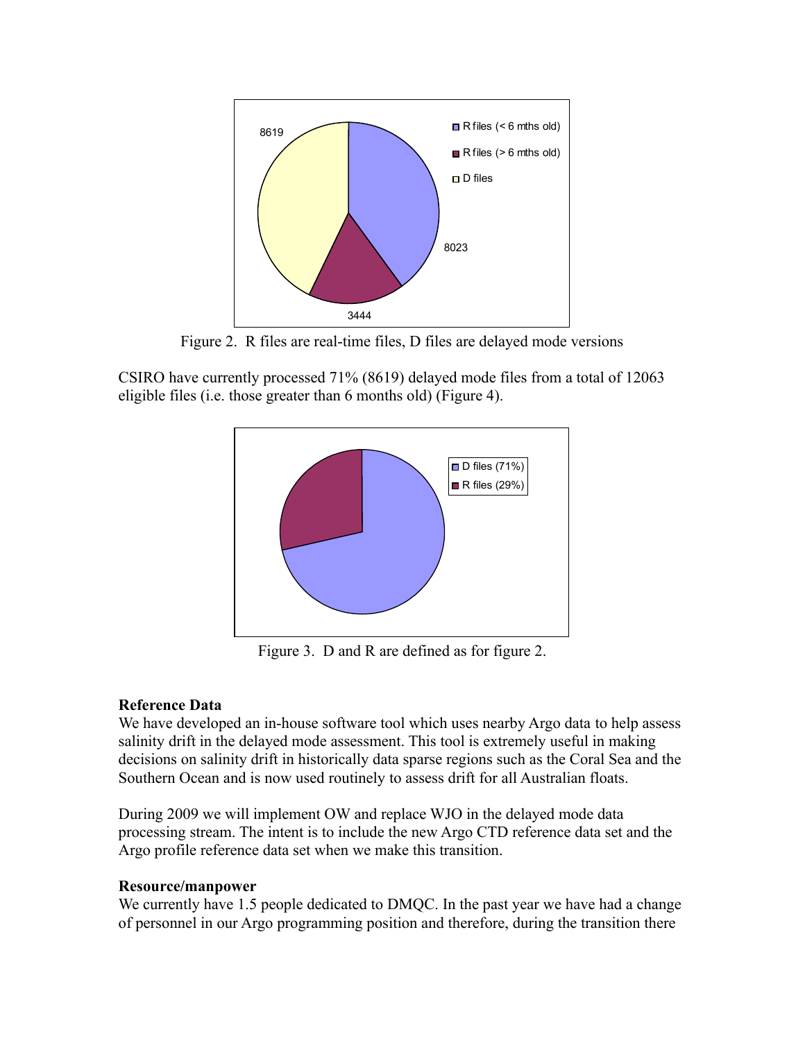

Figure 2. R files are real-time files, D files are delayed mode versions

CSIRO have currently processed 71% (8619) delayed mode files from a total of 12063 eligible files (i.e. those greater than 6 months old) (Figure 4).



Figure 3. D and R are defined as for figure 2.

#### **Reference Data**

We have developed an in-house software tool which uses nearby Argo data to help assess salinity drift in the delayed mode assessment. This tool is extremely useful in making decisions on salinity drift in historically data sparse regions such as the Coral Sea and the Southern Ocean and is now used routinely to assess drift for all Australian floats.

During 2009 we will implement OW and replace WJO in the delayed mode data processing stream. The intent is to include the new Argo CTD reference data set and the Argo profile reference data set when we make this transition.

#### **Resource/manpower**

We currently have 1.5 people dedicated to DMQC. In the past year we have had a change of personnel in our Argo programming position and therefore, during the transition there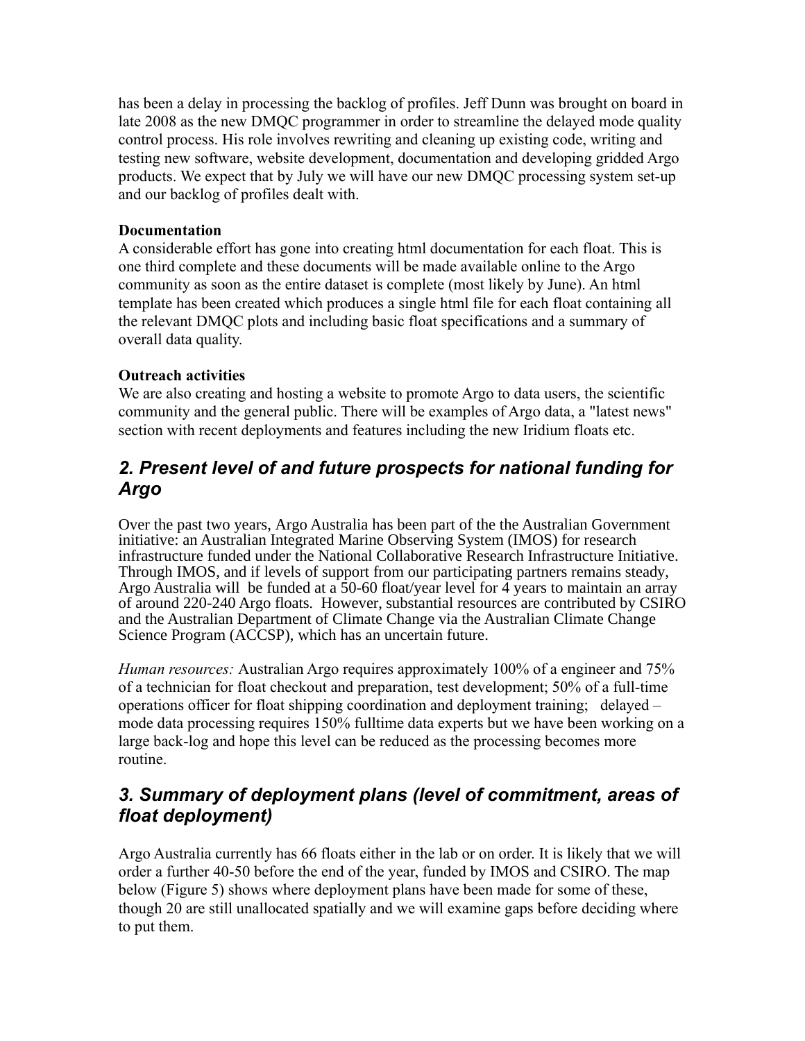has been a delay in processing the backlog of profiles. Jeff Dunn was brought on board in late 2008 as the new DMQC programmer in order to streamline the delayed mode quality control process. His role involves rewriting and cleaning up existing code, writing and testing new software, website development, documentation and developing gridded Argo products. We expect that by July we will have our new DMQC processing system set-up and our backlog of profiles dealt with.

#### **Documentation**

A considerable effort has gone into creating html documentation for each float. This is one third complete and these documents will be made available online to the Argo community as soon as the entire dataset is complete (most likely by June). An html template has been created which produces a single html file for each float containing all the relevant DMQC plots and including basic float specifications and a summary of overall data quality.

### **Outreach activities**

We are also creating and hosting a website to promote Argo to data users, the scientific community and the general public. There will be examples of Argo data, a "latest news" section with recent deployments and features including the new Iridium floats etc.

## *2. Present level of and future prospects for national funding for Argo*

Over the past two years, Argo Australia has been part of the the Australian Government initiative: an Australian Integrated Marine Observing System (IMOS) for research infrastructure funded under the National Collaborative Research Infrastructure Initiative. Through IMOS, and if levels of support from our participating partners remains steady, Argo Australia will be funded at a 50-60 float/year level for  $\overline{4}$  years to maintain an array of around 220-240 Argo floats. However, substantial resources are contributed by CSIRO and the Australian Department of Climate Change via the Australian Climate Change Science Program (ACCSP), which has an uncertain future.

*Human resources:* Australian Argo requires approximately 100% of a engineer and 75% of a technician for float checkout and preparation, test development; 50% of a full-time operations officer for float shipping coordination and deployment training; delayed – mode data processing requires 150% fulltime data experts but we have been working on a large back-log and hope this level can be reduced as the processing becomes more routine.

# *3. Summary of deployment plans (level of commitment, areas of float deployment)*

Argo Australia currently has 66 floats either in the lab or on order. It is likely that we will order a further 40-50 before the end of the year, funded by IMOS and CSIRO. The map below (Figure 5) shows where deployment plans have been made for some of these, though 20 are still unallocated spatially and we will examine gaps before deciding where to put them.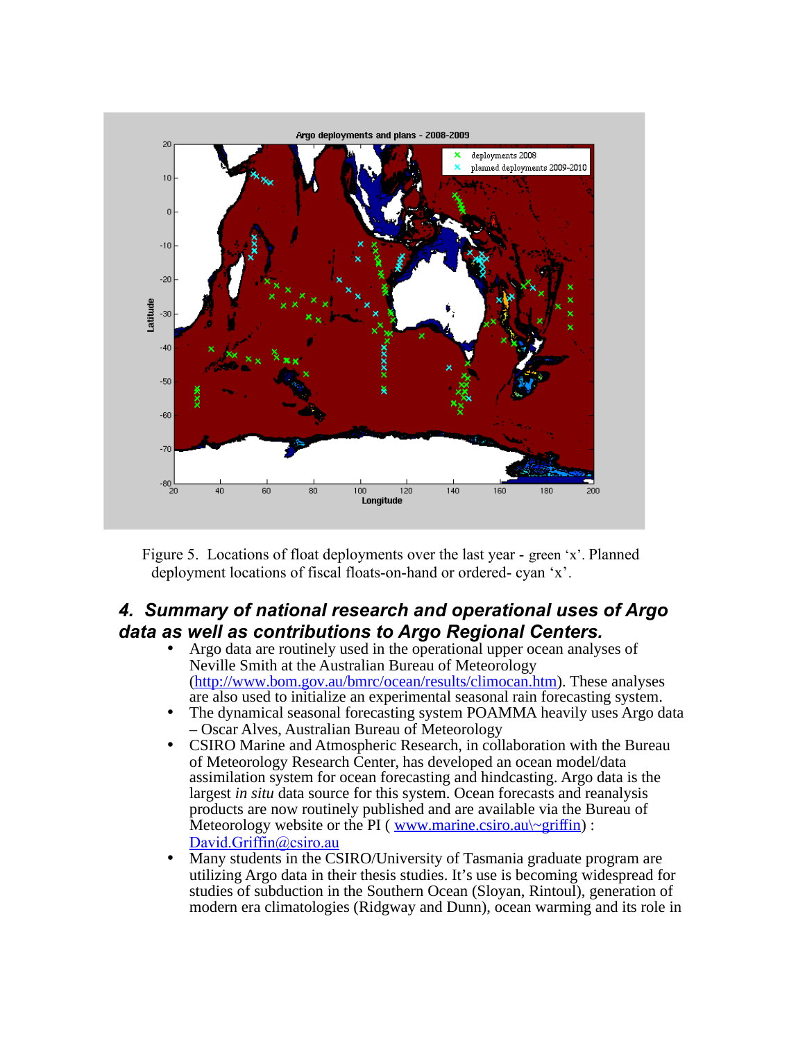

Figure 5. Locations of float deployments over the last year - green 'x'. Planned deployment locations of fiscal floats-on-hand or ordered- cyan 'x'.

### *4. Summary of national research and operational uses of Argo data as well as contributions to Argo Regional Centers.*

- Argo data are routinely used in the operational upper ocean analyses of Neville Smith at the Australian Bureau of Meteorology [\(http://www.bom.gov.au/bmrc/ocean/results/climocan.htm\)](http://www.bom.gov.au/bmrc/ocean/results/climocan.htm). These analyses are also used to initialize an experimental seasonal rain forecasting system.
- The dynamical seasonal forecasting system POAMMA heavily uses Argo data – Oscar Alves, Australian Bureau of Meteorology
- CSIRO Marine and Atmospheric Research, in collaboration with the Bureau of Meteorology Research Center, has developed an ocean model/data assimilation system for ocean forecasting and hindcasting. Argo data is the largest *in situ* data source for this system. Ocean forecasts and reanalysis products are now routinely published and are available via the Bureau of Meteorology website or the PI ( www.marine.csiro.au $\sim$ griffin) : David.Griffin@csiro.au
- Many students in the CSIRO/University of Tasmania graduate program are utilizing Argo data in their thesis studies. It's use is becoming widespread for studies of subduction in the Southern Ocean (Sloyan, Rintoul), generation of modern era climatologies (Ridgway and Dunn), ocean warming and its role in